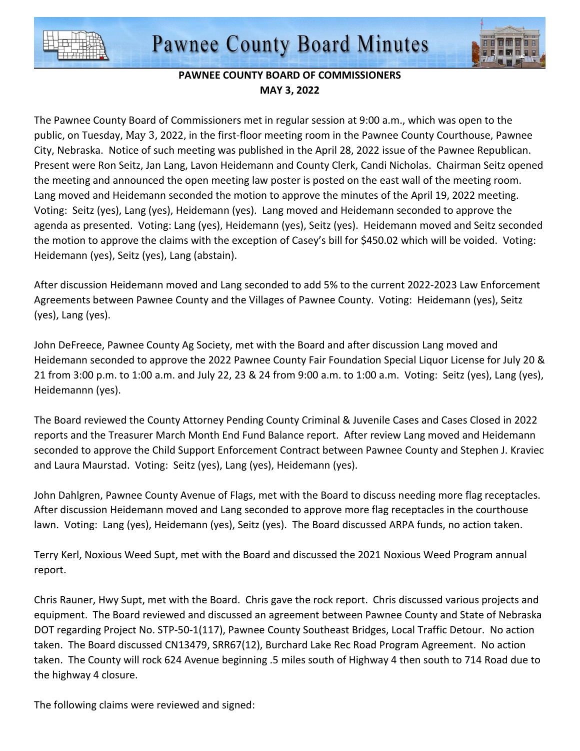



## **PAWNEE COUNTY BOARD OF COMMISSIONERS MAY 3, 2022**

The Pawnee County Board of Commissioners met in regular session at 9:00 a.m., which was open to the public, on Tuesday, May 3, 2022, in the first-floor meeting room in the Pawnee County Courthouse, Pawnee City, Nebraska. Notice of such meeting was published in the April 28, 2022 issue of the Pawnee Republican. Present were Ron Seitz, Jan Lang, Lavon Heidemann and County Clerk, Candi Nicholas. Chairman Seitz opened the meeting and announced the open meeting law poster is posted on the east wall of the meeting room. Lang moved and Heidemann seconded the motion to approve the minutes of the April 19, 2022 meeting. Voting: Seitz (yes), Lang (yes), Heidemann (yes). Lang moved and Heidemann seconded to approve the agenda as presented. Voting: Lang (yes), Heidemann (yes), Seitz (yes). Heidemann moved and Seitz seconded the motion to approve the claims with the exception of Casey's bill for \$450.02 which will be voided. Voting: Heidemann (yes), Seitz (yes), Lang (abstain).

After discussion Heidemann moved and Lang seconded to add 5% to the current 2022-2023 Law Enforcement Agreements between Pawnee County and the Villages of Pawnee County. Voting: Heidemann (yes), Seitz (yes), Lang (yes).

John DeFreece, Pawnee County Ag Society, met with the Board and after discussion Lang moved and Heidemann seconded to approve the 2022 Pawnee County Fair Foundation Special Liquor License for July 20 & 21 from 3:00 p.m. to 1:00 a.m. and July 22, 23 & 24 from 9:00 a.m. to 1:00 a.m. Voting: Seitz (yes), Lang (yes), Heidemannn (yes).

The Board reviewed the County Attorney Pending County Criminal & Juvenile Cases and Cases Closed in 2022 reports and the Treasurer March Month End Fund Balance report. After review Lang moved and Heidemann seconded to approve the Child Support Enforcement Contract between Pawnee County and Stephen J. Kraviec and Laura Maurstad. Voting: Seitz (yes), Lang (yes), Heidemann (yes).

John Dahlgren, Pawnee County Avenue of Flags, met with the Board to discuss needing more flag receptacles. After discussion Heidemann moved and Lang seconded to approve more flag receptacles in the courthouse lawn. Voting: Lang (yes), Heidemann (yes), Seitz (yes). The Board discussed ARPA funds, no action taken.

Terry Kerl, Noxious Weed Supt, met with the Board and discussed the 2021 Noxious Weed Program annual report.

Chris Rauner, Hwy Supt, met with the Board. Chris gave the rock report. Chris discussed various projects and equipment. The Board reviewed and discussed an agreement between Pawnee County and State of Nebraska DOT regarding Project No. STP-50-1(117), Pawnee County Southeast Bridges, Local Traffic Detour. No action taken. The Board discussed CN13479, SRR67(12), Burchard Lake Rec Road Program Agreement. No action taken. The County will rock 624 Avenue beginning .5 miles south of Highway 4 then south to 714 Road due to the highway 4 closure.

The following claims were reviewed and signed: